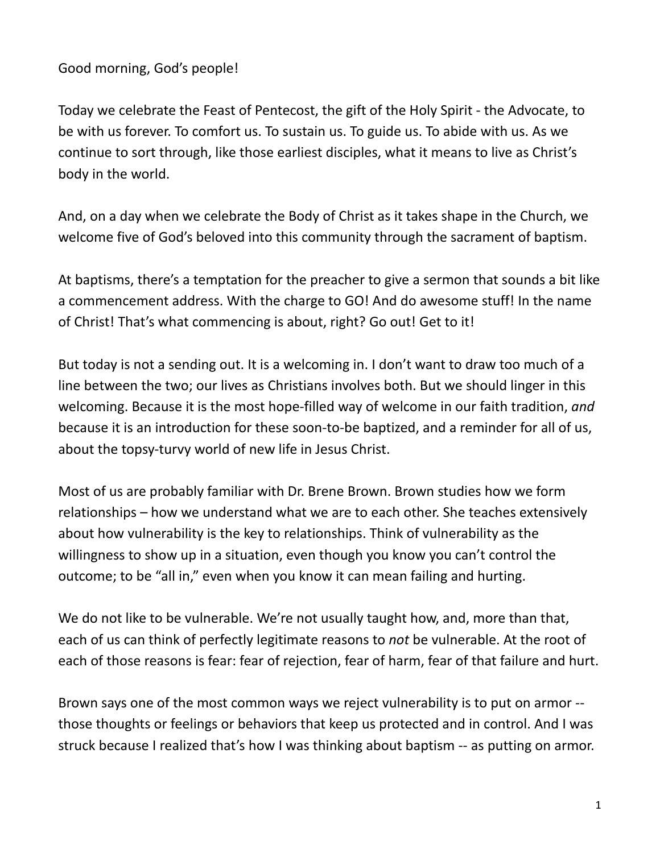Good morning, God's people!

Today we celebrate the Feast of Pentecost, the gift of the Holy Spirit - the Advocate, to be with us forever. To comfort us. To sustain us. To guide us. To abide with us. As we continue to sort through, like those earliest disciples, what it means to live as Christ's body in the world.

And, on a day when we celebrate the Body of Christ as it takes shape in the Church, we welcome five of God's beloved into this community through the sacrament of baptism.

At baptisms, there's a temptation for the preacher to give a sermon that sounds a bit like a commencement address. With the charge to GO! And do awesome stuff! In the name of Christ! That's what commencing is about, right? Go out! Get to it!

But today is not a sending out. It is a welcoming in. I don't want to draw too much of a line between the two; our lives as Christians involves both. But we should linger in this welcoming. Because it is the most hope-filled way of welcome in our faith tradition, *and* because it is an introduction for these soon-to-be baptized, and a reminder for all of us, about the topsy-turvy world of new life in Jesus Christ.

Most of us are probably familiar with Dr. Brene Brown. Brown studies how we form relationships – how we understand what we are to each other. She teaches extensively about how vulnerability is the key to relationships. Think of vulnerability as the willingness to show up in a situation, even though you know you can't control the outcome; to be "all in," even when you know it can mean failing and hurting.

We do not like to be vulnerable. We're not usually taught how, and, more than that, each of us can think of perfectly legitimate reasons to *not* be vulnerable. At the root of each of those reasons is fear: fear of rejection, fear of harm, fear of that failure and hurt.

Brown says one of the most common ways we reject vulnerability is to put on armor - those thoughts or feelings or behaviors that keep us protected and in control. And I was struck because I realized that's how I was thinking about baptism -- as putting on armor.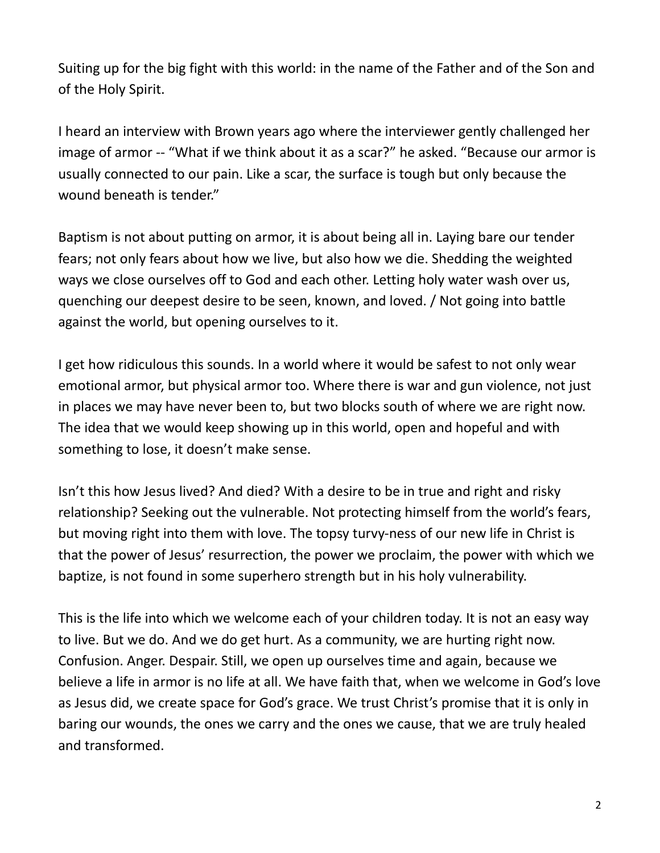Suiting up for the big fight with this world: in the name of the Father and of the Son and of the Holy Spirit.

I heard an interview with Brown years ago where the interviewer gently challenged her image of armor -- "What if we think about it as a scar?" he asked. "Because our armor is usually connected to our pain. Like a scar, the surface is tough but only because the wound beneath is tender."

Baptism is not about putting on armor, it is about being all in. Laying bare our tender fears; not only fears about how we live, but also how we die. Shedding the weighted ways we close ourselves off to God and each other. Letting holy water wash over us, quenching our deepest desire to be seen, known, and loved. / Not going into battle against the world, but opening ourselves to it.

I get how ridiculous this sounds. In a world where it would be safest to not only wear emotional armor, but physical armor too. Where there is war and gun violence, not just in places we may have never been to, but two blocks south of where we are right now. The idea that we would keep showing up in this world, open and hopeful and with something to lose, it doesn't make sense.

Isn't this how Jesus lived? And died? With a desire to be in true and right and risky relationship? Seeking out the vulnerable. Not protecting himself from the world's fears, but moving right into them with love. The topsy turvy-ness of our new life in Christ is that the power of Jesus' resurrection, the power we proclaim, the power with which we baptize, is not found in some superhero strength but in his holy vulnerability.

This is the life into which we welcome each of your children today. It is not an easy way to live. But we do. And we do get hurt. As a community, we are hurting right now. Confusion. Anger. Despair. Still, we open up ourselves time and again, because we believe a life in armor is no life at all. We have faith that, when we welcome in God's love as Jesus did, we create space for God's grace. We trust Christ's promise that it is only in baring our wounds, the ones we carry and the ones we cause, that we are truly healed and transformed.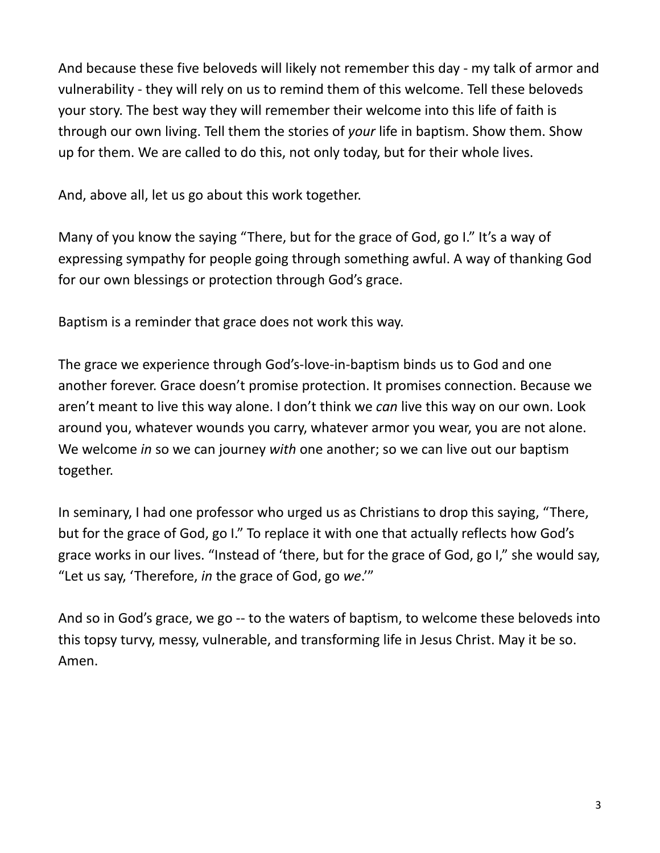And because these five beloveds will likely not remember this day - my talk of armor and vulnerability - they will rely on us to remind them of this welcome. Tell these beloveds your story. The best way they will remember their welcome into this life of faith is through our own living. Tell them the stories of *your* life in baptism. Show them. Show up for them. We are called to do this, not only today, but for their whole lives.

And, above all, let us go about this work together.

Many of you know the saying "There, but for the grace of God, go I." It's a way of expressing sympathy for people going through something awful. A way of thanking God for our own blessings or protection through God's grace.

Baptism is a reminder that grace does not work this way.

The grace we experience through God's-love-in-baptism binds us to God and one another forever. Grace doesn't promise protection. It promises connection. Because we aren't meant to live this way alone. I don't think we *can* live this way on our own. Look around you, whatever wounds you carry, whatever armor you wear, you are not alone. We welcome *in* so we can journey *with* one another; so we can live out our baptism together.

In seminary, I had one professor who urged us as Christians to drop this saying, "There, but for the grace of God, go I." To replace it with one that actually reflects how God's grace works in our lives. "Instead of 'there, but for the grace of God, go I," she would say, "Let us say, 'Therefore, *in* the grace of God, go *we*.'"

And so in God's grace, we go -- to the waters of baptism, to welcome these beloveds into this topsy turvy, messy, vulnerable, and transforming life in Jesus Christ. May it be so. Amen.